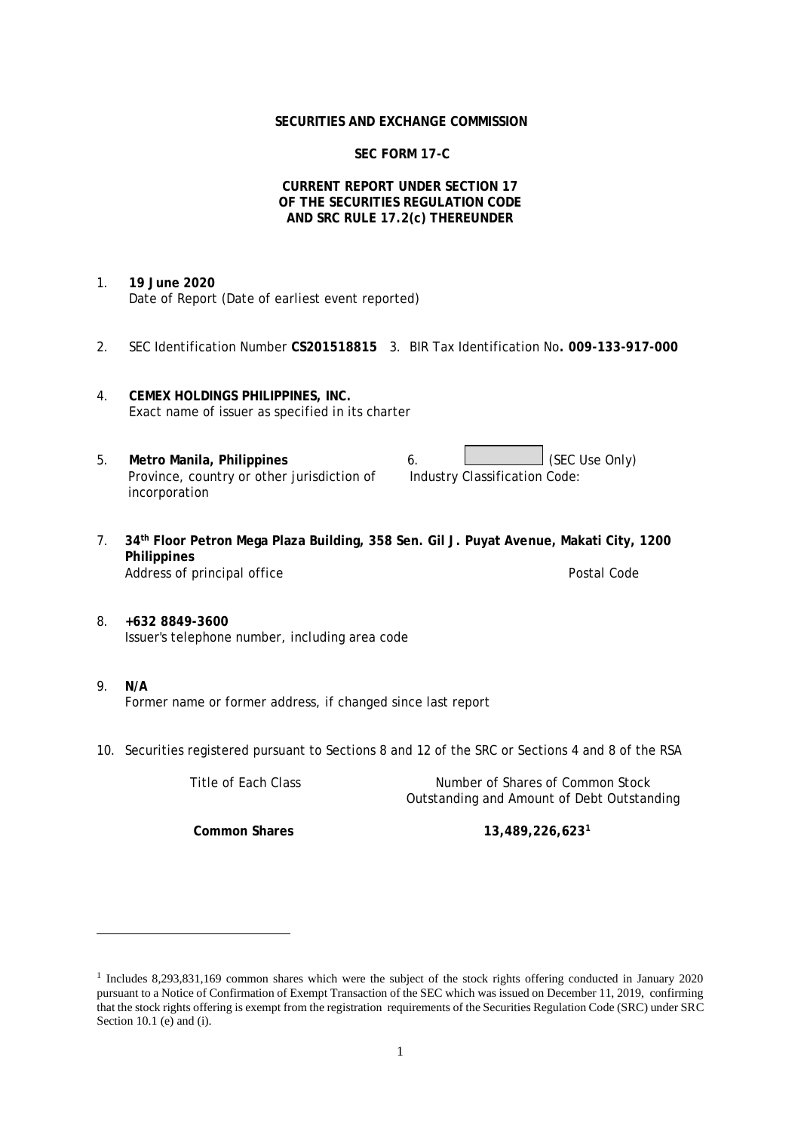#### **SECURITIES AND EXCHANGE COMMISSION**

# **SEC FORM 17-C**

### **CURRENT REPORT UNDER SECTION 17 OF THE SECURITIES REGULATION CODE AND SRC RULE 17.2(c) THEREUNDER**

- 1. **19 June 2020** Date of Report (Date of earliest event reported)
- 2. SEC Identification Number **CS201518815** 3. BIR Tax Identification No**. 009-133-917-000**
- 4. **CEMEX HOLDINGS PHILIPPINES, INC.** Exact name of issuer as specified in its charter
- 5. Metro Manila, Philippines **6.** (SEC Use Only) Province, country or other jurisdiction of incorporation Industry Classification Code:
- 7. **34th Floor Petron Mega Plaza Building, 358 Sen. Gil J. Puyat Avenue, Makati City, 1200 Philippines** Address of principal office **Postal Code** Postal Code Postal Code
- 8. **+632 8849-3600** Issuer's telephone number, including area code
- 9. **N/A** Former name or former address, if changed since last report
- 10. Securities registered pursuant to Sections 8 and 12 of the SRC or Sections 4 and 8 of the RSA

Title of Each Class Number of Shares of Common Stock Outstanding and Amount of Debt Outstanding **Common Shares 13,489,226,623<sup>1</sup>**

<sup>1</sup> Includes 8,293,831,169 common shares which were the subject of the stock rights offering conducted in January 2020 pursuant to a Notice of Confirmation of Exempt Transaction of the SEC which was issued on December 11, 2019, confirming that the stock rights offering is exempt from the registration requirements of the Securities Regulation Code (SRC) under SRC Section 10.1 (e) and (i).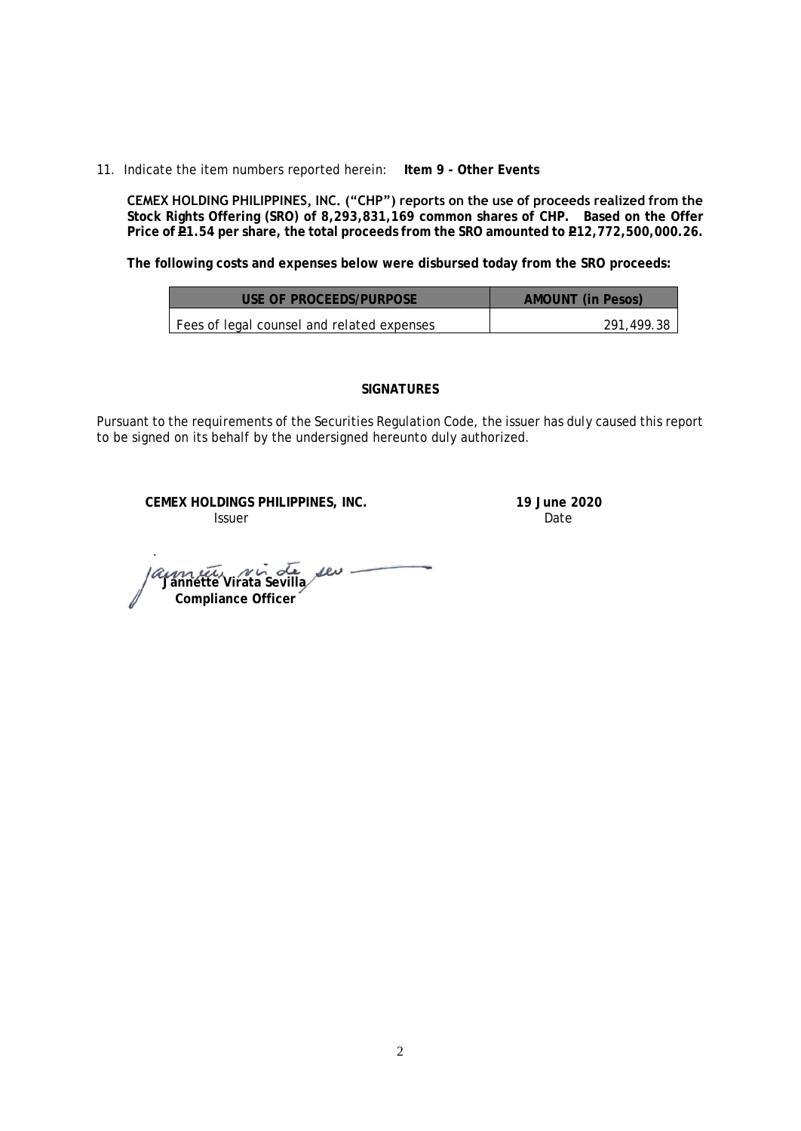11. Indicate the item numbers reported herein: **Item 9 - Other Events**

**CEMEX HOLDING PHILIPPINES, INC. ("CHP") reports on the use of proceeds realized from the Stock Rights Offering (SRO) of 8,293,831,169 common shares of CHP. Based on the Offer**  Price of **P1.54** per share, the total proceeds from the SRO amounted to **P12,772,500,000.26.** 

**The following costs and expenses below were disbursed today from the SRO proceeds:**

| USE OF PROCFFDS/PURPOSE                    | AMOUNT (in Pesos) |
|--------------------------------------------|-------------------|
| Fees of legal counsel and related expenses | 291.499.38        |

### **SIGNATURES**

Pursuant to the requirements of the Securities Regulation Code, the issuer has duly caused this report to be signed on its behalf by the undersigned hereunto duly authorized.

**CEMEX HOLDINGS PHILIPPINES, INC. 19 June 2020 Issuer Date** 

*aumetic Nir de seu -*<br>Jannette Virata Sevilla  **Compliance Officer**